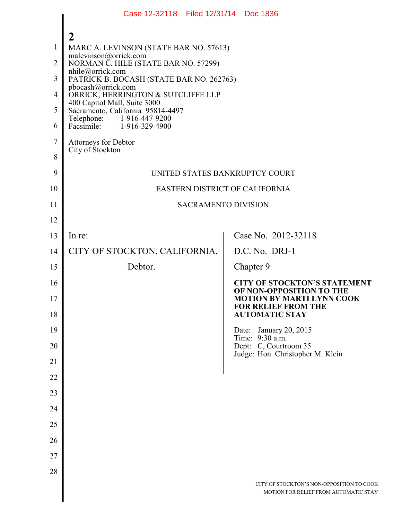|                | Case 12-32118 Filed 12/31/14 Doc 1836                             |                                                                                                     |  |
|----------------|-------------------------------------------------------------------|-----------------------------------------------------------------------------------------------------|--|
| $\mathbf{1}$   | 2<br>MARC A. LEVINSON (STATE BAR NO. 57613)                       |                                                                                                     |  |
| $\overline{2}$ | malevinson@orrick.com<br>NORMAN C. HILE (STATE BAR NO. 57299)     |                                                                                                     |  |
| 3              | nhile@orrick.com<br>PATRICK B. BOCASH (STATE BAR NO. 262763)      |                                                                                                     |  |
| $\overline{4}$ | pbocash@orrick.com<br>ORRICK, HERRINGTON & SUTCLIFFE LLP          |                                                                                                     |  |
| 5              | 400 Capitol Mall, Suite 3000<br>Sacramento, California 95814-4497 |                                                                                                     |  |
| 6              | Telephone: +1-916-447-9200<br>Facsimile: $+1-916-329-4900$        |                                                                                                     |  |
| $\overline{7}$ | Attorneys for Debtor                                              |                                                                                                     |  |
| 8              | City of Stockton                                                  |                                                                                                     |  |
| 9              | UNITED STATES BANKRUPTCY COURT                                    |                                                                                                     |  |
| 10             | EASTERN DISTRICT OF CALIFORNIA                                    |                                                                                                     |  |
| 11             | <b>SACRAMENTO DIVISION</b>                                        |                                                                                                     |  |
| 12             |                                                                   |                                                                                                     |  |
| 13             | In re:                                                            | Case No. 2012-32118                                                                                 |  |
| 14             | CITY OF STOCKTON, CALIFORNIA,                                     | D.C. No. DRJ-1                                                                                      |  |
| 15             | Debtor.                                                           | Chapter 9                                                                                           |  |
| 16<br>17       |                                                                   | <b>CITY OF STOCKTON'S STATEMENT</b><br>OF NON-OPPOSITION TO THE<br><b>MOTION BY MARTI LYNN COOK</b> |  |
| 18             |                                                                   | <b>FOR RELIEF FROM THE</b><br><b>AUTOMATIC STAY</b>                                                 |  |
| 19             |                                                                   | Date: January 20, 2015                                                                              |  |
| 20             |                                                                   | Time: 9:30 a.m.<br>Dept: C, Courtroom 35<br>Judge: Hon. Christopher M. Klein                        |  |
| 21             |                                                                   |                                                                                                     |  |
| 22             |                                                                   |                                                                                                     |  |
| 23             |                                                                   |                                                                                                     |  |
| 24             |                                                                   |                                                                                                     |  |
| 25             |                                                                   |                                                                                                     |  |
| 26             |                                                                   |                                                                                                     |  |
| 27             |                                                                   |                                                                                                     |  |
| 28             |                                                                   |                                                                                                     |  |
|                |                                                                   | CITY OF STOCKTON'S NON-OPPOSITION TO COOK<br>MOTION FOR RELIEF FROM AUTOMATIC STAY                  |  |